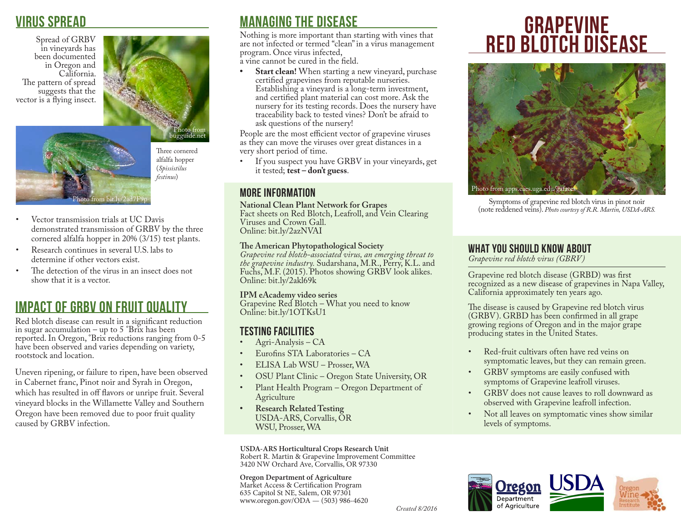## virus spread

Spread of GRBV in vineyards has been documented in Oregon and California. The pattern of spread suggests that the vector is a flying insect.



Photo from bit.ly/2ad7F9

Three cornered alfalfa hopper (*Spissistilus festinus*)

- Vector transmission trials at UC Davis demonstrated transmission of GRBV by the three cornered alfalfa hopper in 20% (3/15) test plants.
- Research continues in several U.S. labs to determine if other vectors exist.
- The detection of the virus in an insect does not show that it is a vector.

# Impact of GRBV on Fruit Quality

Red blotch disease can result in a significant reduction in sugar accumulation – up to  $5 \degree \text{Brix}$  has been reported. In Oregon, °Brix reductions ranging from 0-5 have been observed and varies depending on variety, rootstock and location.

Uneven ripening, or failure to ripen, have been observed in Cabernet franc, Pinot noir and Syrah in Oregon, which has resulted in off flavors or unripe fruit. Several vineyard blocks in the Willamette Valley and Southern Oregon have been removed due to poor fruit quality caused by GRBV infection.

# managing the disease

Nothing is more important than starting with vines that are not infected or termed "clean" in a virus management program. Once virus infected, a vine cannot be cured in the field.

**• Start clean!** When starting a new vineyard, purchase certified grapevines from reputable nurseries. Establishing a vineyard is a long-term investment, and certified plant material can cost more. Ask the nursery for its testing records. Does the nursery have traceability back to tested vines? Don't be afraid to ask questions of the nursery!

People are the most efficient vector of grapevine viruses as they can move the viruses over great distances in a very short period of time.<br>• If you suspect you has

If you suspect you have GRBV in your vineyards, get it tested; **test – don't guess**.

## more information

**National Clean Plant Network for Grapes** Fact sheets on Red Blotch, Leafroll, and Vein Clearing Viruses and Crown Gall. Online: bit.ly/2azNVAI

## **The American Phytopathological Society**

*Grapevine red blotch-associated virus, an emerging threat to the grapevine industry.* Sudarshana, M.R., Perry, K.L. and Fuchs, M.F. (2015). Photos showing GRBV look alikes. Online: bit.ly/2akl69k

### **IPM eAcademy video series**

Grapevine Red Blotch – What you need to know Online: bit.ly/1OTKsU1

## testing facilities

- Agri-Analysis CA
- Eurofins STA Laboratories CA
- ELISA Lab WSU Prosser, WA
- OSU Plant Clinic Oregon State University, OR
- Plant Health Program Oregon Department of Agriculture
- **• Research Related Testing** USDA-ARS, Corvallis, OR WSU, Prosser, WA

**USDA-ARS Horticultural Crops Research Unit** Robert R. Martin & Grapevine Improvement Committee 3420 NW Orchard Ave, Corvallis, OR 97330

**Oregon Department of Agriculture** Market Access & Certification Program 635 Capitol St NE, Salem, OR 97301 www.oregon.gov/ODA — (503) 986-4620

# **GRAPEVINE** <u>red blotch disease</u>



Symptoms of grapevine red blotch virus in pinot noir (note reddened veins). *Photo courtesy of R.R. Martin, USDA-ARS.* 

## what you should know about

*Grapevine red blotch virus (GBRV)*

Grapevine red blotch disease (GRBD) was first recognized as a new disease of grapevines in Napa Valley, California approximately ten years ago.

The disease is caused by Grapevine red blotch virus (GRBV). GRBD has been confirmed in all grape growing regions of Oregon and in the major grape producing states in the United States.

- Red-fruit cultivars often have red veins on symptomatic leaves, but they can remain green.
- GRBV symptoms are easily confused with symptoms of Grapevine leafroll viruses.
- GRBV does not cause leaves to roll downward as observed with Grapevine leafroll infection.
- Not all leaves on symptomatic vines show similar levels of symptoms.